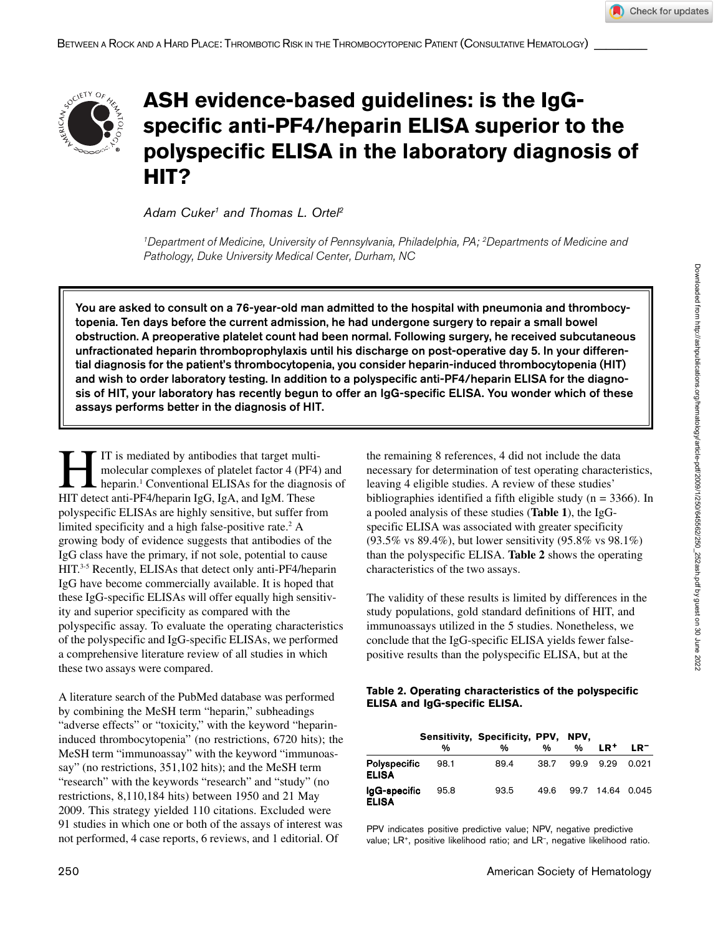

# **ASH evidence-based guidelines: is the IgGspecific anti-PF4/heparin ELISA superior to the polyspecific ELISA in the laboratory diagnosis of HIT?**

*Adam Cuker1 and Thomas L. Ortel2*

*1Department of Medicine, University of Pennsylvania, Philadelphia, PA; 2Departments of Medicine and Pathology, Duke University Medical Center, Durham, NC*

You are asked to consult on a 76-year-old man admitted to the hospital with pneumonia and thrombocytopenia. Ten days before the current admission, he had undergone surgery to repair a small bowel obstruction. A preoperative platelet count had been normal. Following surgery, he received subcutaneous unfractionated heparin thromboprophylaxis until his discharge on post-operative day 5. In your differential diagnosis for the patient's thrombocytopenia, you consider heparin-induced thrombocytopenia (HIT) and wish to order laboratory testing. In addition to a polyspecific anti-PF4/heparin ELISA for the diagnosis of HIT, your laboratory has recently begun to offer an IgG-specific ELISA. You wonder which of these assays performs better in the diagnosis of HIT.

IT is mediated by antibodies that target multi-<br>molecular complexes of platelet factor 4 (PF4)<br>heparin.<sup>1</sup> Conventional ELISAs for the diagno-<br>HIT detect anti-PF4/heparin JgG JgA and JgM. These molecular complexes of platelet factor 4 (PF4) and heparin.<sup>1</sup> Conventional ELISAs for the diagnosis of HIT detect anti-PF4/heparin IgG, IgA, and IgM. These polyspecific ELISAs are highly sensitive, but suffer from limited specificity and a high false-positive rate.<sup>2</sup> A growing body of evidence suggests that antibodies of the IgG class have the primary, if not sole, potential to cause HIT.3-5 Recently, ELISAs that detect only anti-PF4/heparin IgG have become commercially available. It is hoped that these IgG-specific ELISAs will offer equally high sensitivity and superior specificity as compared with the polyspecific assay. To evaluate the operating characteristics of the polyspecific and IgG-specific ELISAs, we performed a comprehensive literature review of all studies in which these two assays were compared.

A literature search of the PubMed database was performed by combining the MeSH term "heparin," subheadings "adverse effects" or "toxicity," with the keyword "heparininduced thrombocytopenia" (no restrictions, 6720 hits); the MeSH term "immunoassay" with the keyword "immunoassay" (no restrictions, 351,102 hits); and the MeSH term "research" with the keywords "research" and "study" (no restrictions, 8,110,184 hits) between 1950 and 21 May 2009. This strategy yielded 110 citations. Excluded were 91 studies in which one or both of the assays of interest was not performed, 4 case reports, 6 reviews, and 1 editorial. Of

the remaining 8 references, 4 did not include the data necessary for determination of test operating characteristics, leaving 4 eligible studies. A review of these studies' bibliographies identified a fifth eligible study (n = 3366). In a pooled analysis of these studies (**Table 1**), the IgGspecific ELISA was associated with greater specificity (93.5% vs 89.4%), but lower sensitivity (95.8% vs 98.1%) than the polyspecific ELISA. **Table 2** shows the operating characteristics of the two assays.

The validity of these results is limited by differences in the study populations, gold standard definitions of HIT, and immunoassays utilized in the 5 studies. Nonetheless, we conclude that the IgG-specific ELISA yields fewer falsepositive results than the polyspecific ELISA, but at the

### **Table 2. Operating characteristics of the polyspecific ELISA and IgG-specific ELISA.**

|                                     |      | Sensitivity, Specificity, PPV, NPV, |      |      |                 |        |
|-------------------------------------|------|-------------------------------------|------|------|-----------------|--------|
|                                     | %    | %                                   | %    | %    | LR <sup>+</sup> | $LR^-$ |
| <b>Polyspecific</b><br><b>ELISA</b> | 98.1 | 89.4                                | 38.7 | 99.9 | 9.29            | 0.021  |
| IgG-specific<br><b>ELISA</b>        | 95.8 | 93.5                                | 49.6 | 99.7 | 14.64 0.045     |        |

PPV indicates positive predictive value; NPV, negative predictive value; LR<sup>+</sup>, positive likelihood ratio; and LR<sup>-</sup>, negative likelihood ratio.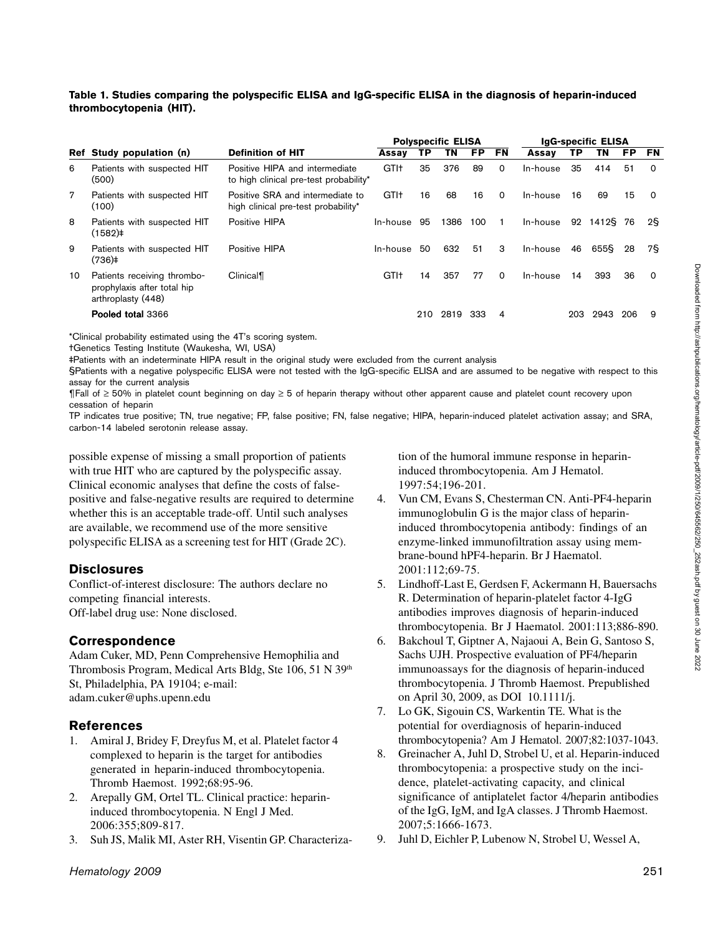Downloaded from http://ashpublications.org/hematology/article-pdf/2009/1/250/645562/250\_252ash.pdf by guest on 30 June 2022

#### **Table 1. Studies comparing the polyspecific ELISA and IgG-specific ELISA in the diagnosis of heparin-induced thrombocytopenia (HIT).**

|    |                                                                                  |                                                                          | <b>Polyspecific ELISA</b> |     |      |           | IgG-specific ELISA |          |     |       |     |          |
|----|----------------------------------------------------------------------------------|--------------------------------------------------------------------------|---------------------------|-----|------|-----------|--------------------|----------|-----|-------|-----|----------|
|    | Ref Study population (n)                                                         | <b>Definition of HIT</b>                                                 | Assay                     | ТP  | TN   | <b>FP</b> | FN                 | Assav    | ТP  | TN    | FP. | FN       |
| 6  | Patients with suspected HIT<br>(500)                                             | Positive HIPA and intermediate<br>to high clinical pre-test probability* | GTI <sup>+</sup>          | 35  | 376  | 89        | 0                  | In-house | 35  | 414   | 51  | $\Omega$ |
| 7  | Patients with suspected HIT<br>(100)                                             | Positive SRA and intermediate to<br>high clinical pre-test probability*  | GTI <sup>+</sup>          | 16  | 68   | 16        | $\Omega$           | In-house | 16  | 69    | 15  | - 0      |
| 8  | Patients with suspected HIT<br>(1582)‡                                           | Positive HIPA                                                            | In-house                  | 95  | 1386 | 100       |                    | In-house | 92  | 1412§ | 76  | 2§       |
| 9  | Patients with suspected HIT<br>(736)                                             | Positive HIPA                                                            | In-house                  | 50  | 632  | 51        | 3                  | In-house | 46  | 655§  | 28  | 78       |
| 10 | Patients receiving thrombo-<br>prophylaxis after total hip<br>arthroplasty (448) | Clinical                                                                 | GTI <sup>+</sup>          | 14  | 357  | 77        | $\Omega$           | In-house | 14  | 393   | 36  | $\Omega$ |
|    | Pooled total 3366                                                                |                                                                          |                           | 210 | 2819 | 333       | 4                  |          | 203 | 2943  | 206 | 9        |

\*Clinical probability estimated using the 4T's scoring system.

†Genetics Testing Institute (Waukesha, WI, USA)

‡Patients with an indeterminate HIPA result in the original study were excluded from the current analysis

§Patients with a negative polyspecific ELISA were not tested with the IgG-specific ELISA and are assumed to be negative with respect to this assay for the current analysis

¶Fall of ≥ 50% in platelet count beginning on day ≥ 5 of heparin therapy without other apparent cause and platelet count recovery upon cessation of heparin

TP indicates true positive; TN, true negative; FP, false positive; FN, false negative; HIPA, heparin-induced platelet activation assay; and SRA, carbon-14 labeled serotonin release assay.

possible expense of missing a small proportion of patients with true HIT who are captured by the polyspecific assay. Clinical economic analyses that define the costs of falsepositive and false-negative results are required to determine whether this is an acceptable trade-off. Until such analyses are available, we recommend use of the more sensitive polyspecific ELISA as a screening test for HIT (Grade 2C).

#### **Disclosures**

Conflict-of-interest disclosure: The authors declare no competing financial interests. Off-label drug use: None disclosed.

## **Correspondence**

Adam Cuker, MD, Penn Comprehensive Hemophilia and Thrombosis Program, Medical Arts Bldg, Ste 106, 51 N 39<sup>th</sup> St, Philadelphia, PA 19104; e-mail: adam.cuker@uphs.upenn.edu

#### **References**

- 1. Amiral J, Bridey F, Dreyfus M, et al. Platelet factor 4 complexed to heparin is the target for antibodies generated in heparin-induced thrombocytopenia. Thromb Haemost. 1992;68:95-96.
- 2. Arepally GM, Ortel TL. Clinical practice: heparininduced thrombocytopenia. N Engl J Med. 2006:355;809-817.
- 3. Suh JS, Malik MI, Aster RH, Visentin GP. Characteriza-

tion of the humoral immune response in heparininduced thrombocytopenia. Am J Hematol. 1997:54;196-201.

- 4. Vun CM, Evans S, Chesterman CN. Anti-PF4-heparin immunoglobulin G is the major class of heparininduced thrombocytopenia antibody: findings of an enzyme-linked immunofiltration assay using membrane-bound hPF4-heparin. Br J Haematol. 2001:112;69-75.
- 5. Lindhoff-Last E, Gerdsen F, Ackermann H, Bauersachs R. Determination of heparin-platelet factor 4-IgG antibodies improves diagnosis of heparin-induced thrombocytopenia. Br J Haematol. 2001:113;886-890.
- 6. Bakchoul T, Giptner A, Najaoui A, Bein G, Santoso S, Sachs UJH. Prospective evaluation of PF4/heparin immunoassays for the diagnosis of heparin-induced thrombocytopenia. J Thromb Haemost. Prepublished on April 30, 2009, as DOI 10.1111/j.
- 7. Lo GK, Sigouin CS, Warkentin TE. What is the potential for overdiagnosis of heparin-induced thrombocytopenia? Am J Hematol. 2007;82:1037-1043.
- 8. Greinacher A, Juhl D, Strobel U, et al. Heparin-induced thrombocytopenia: a prospective study on the incidence, platelet-activating capacity, and clinical significance of antiplatelet factor 4/heparin antibodies of the IgG, IgM, and IgA classes. J Thromb Haemost. 2007;5:1666-1673.
- 9. Juhl D, Eichler P, Lubenow N, Strobel U, Wessel A,